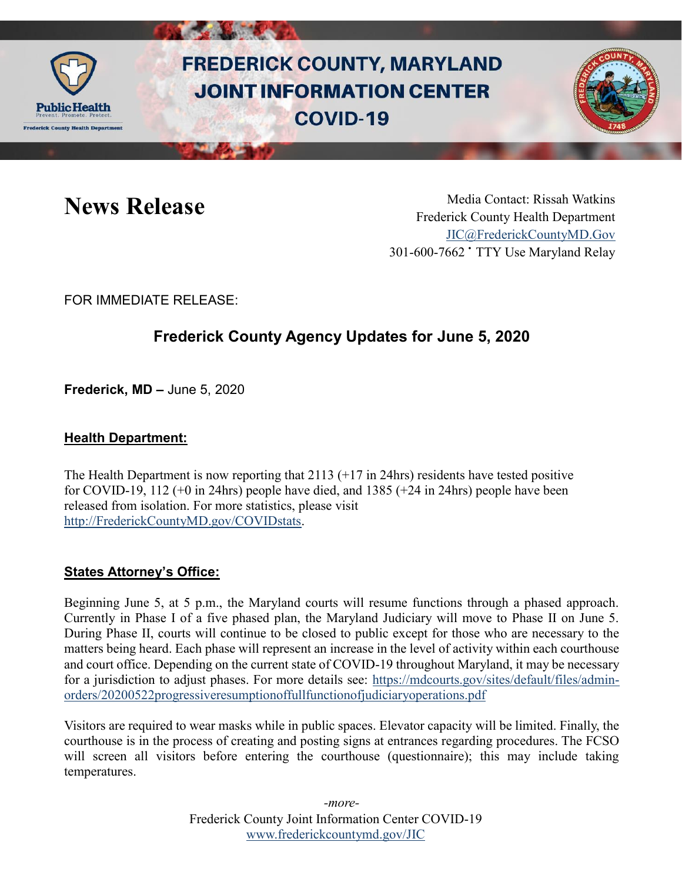

# **FREDERICK COUNTY, MARYLAND JOINT INFORMATION CENTER COVID-19**



News Release Media Contact: Rissah Watkins Frederick County Health Department [JIC@FrederickCountyMD.Gov](mailto:JIC@FrederickCountyMD.Gov) 301-600-7662 • TTY Use Maryland Relay

FOR IMMEDIATE RELEASE:

# **Frederick County Agency Updates for June 5, 2020**

**Frederick, MD –** June 5, 2020

### **Health Department:**

The Health Department is now reporting that  $2113$  (+17 in 24hrs) residents have tested positive for COVID-19, 112 (+0 in 24hrs) people have died, and 1385 (+24 in 24hrs) people have been released from isolation. For more statistics, please visit [http://FrederickCountyMD.gov/COVIDstats.](http://frederickcountymd.gov/COVIDstats)

#### **States Attorney's Office:**

Beginning June 5, at 5 p.m., the Maryland courts will resume functions through a phased approach. Currently in Phase I of a five phased plan, the Maryland Judiciary will move to Phase II on June 5. During Phase II, courts will continue to be closed to public except for those who are necessary to the matters being heard. Each phase will represent an increase in the level of activity within each courthouse and court office. Depending on the current state of COVID-19 throughout Maryland, it may be necessary for a jurisdiction to adjust phases. For more details see: [https://mdcourts.gov/sites/default/files/admin](https://mdcourts.gov/sites/default/files/admin-orders/20200522progressiveresumptionoffullfunctionofjudiciaryoperations.pdf)[orders/20200522progressiveresumptionoffullfunctionofjudiciaryoperations.pdf](https://mdcourts.gov/sites/default/files/admin-orders/20200522progressiveresumptionoffullfunctionofjudiciaryoperations.pdf)

Visitors are required to wear masks while in public spaces. Elevator capacity will be limited. Finally, the courthouse is in the process of creating and posting signs at entrances regarding procedures. The FCSO will screen all visitors before entering the courthouse (questionnaire); this may include taking temperatures.

> Frederick County Joint Information Center COVID-19 [www.frederickcountymd.gov/JIC](https://frederickcountymd.gov/JIC) *-more-*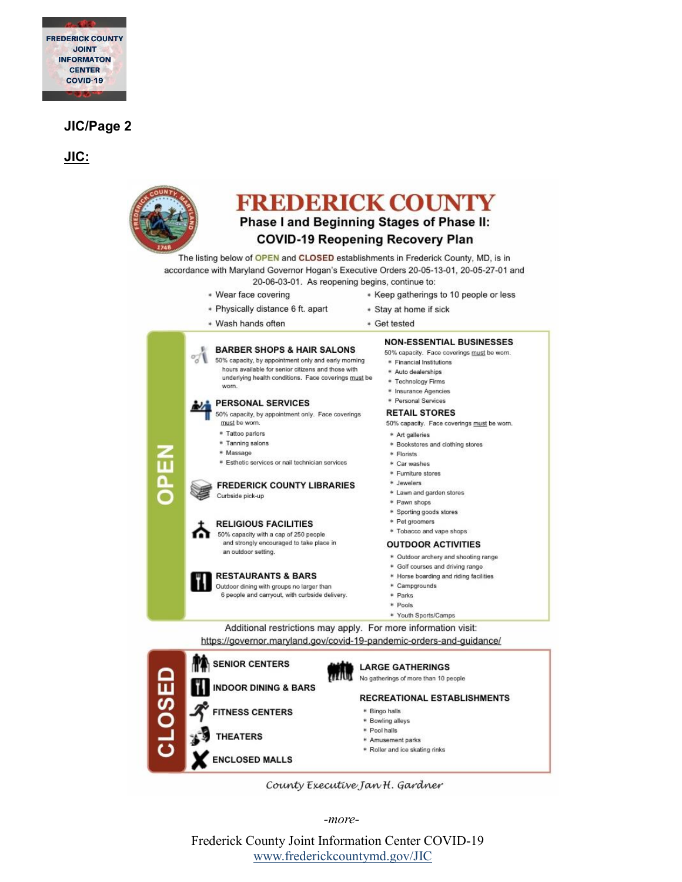

#### **JIC/Page 2**

**JIC:**



- \* Amusement parks
- \* Roller and ice skating rinks
- County Executive Jan H. Gardner

*-more-*

**ENCLOSED MALLS** 

Frederick County Joint Information Center COVID-19 [www.frederickcountymd.gov/JIC](https://frederickcountymd.gov/JIC)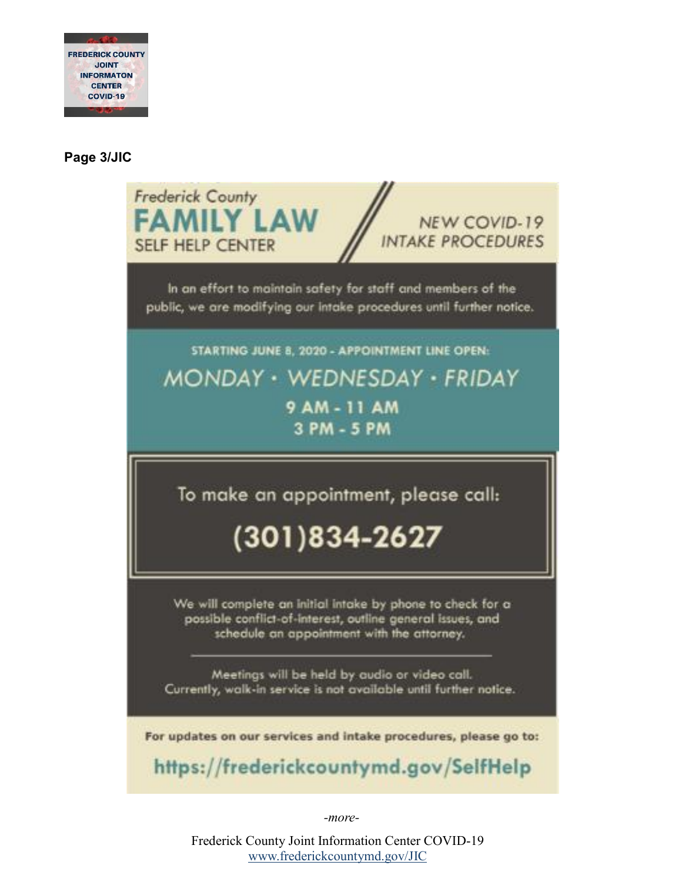

## **Page 3/JIC**

| <b>Frederick County</b><br><b>FAMILY LAW</b><br><b>NEW COVID-19</b><br><b>INTAKE PROCEDURES</b><br><b>SELF HELP CENTER</b>                                             |
|------------------------------------------------------------------------------------------------------------------------------------------------------------------------|
| In an effort to maintain safety for staff and members of the<br>public, we are modifying our intake procedures until further notice.                                   |
| STARTING JUNE 8, 2020 - APPOINTMENT LINE OPEN:                                                                                                                         |
| MONDAY • WEDNESDAY • FRIDAY                                                                                                                                            |
| 9 AM - 11 AM<br>3 PM - 5 PM                                                                                                                                            |
| To make an appointment, please call:<br>(301)834-2627                                                                                                                  |
| We will complete an initial intake by phone to check for a<br>possible conflict-of-interest, outline general issues, and<br>schedule an appointment with the attorney. |
| Meetings will be held by audio or video call.<br>Currently, walk-in service is not available until further notice.                                                     |
| For updates on our services and intake procedures, please go to:<br>https://frederickcountymd.gov/SelfHelp                                                             |

*-more-*

Frederick County Joint Information Center COVID-19 [www.frederickcountymd.gov/JIC](https://frederickcountymd.gov/JIC)